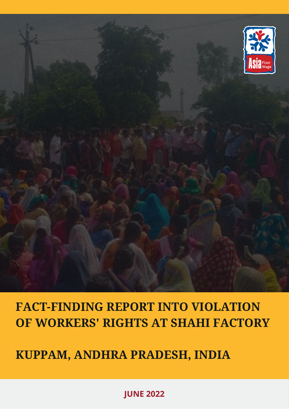## **KUPPAM, ANDHRA PRADESH, INDIA**

# **FACT-FINDING REPORT INTO VIOLATION OF WORKERS' RIGHTS AT SHAHI FACTORY**



### **JUNE 2022**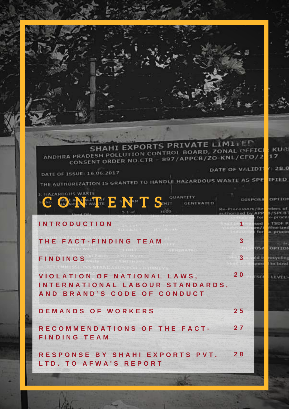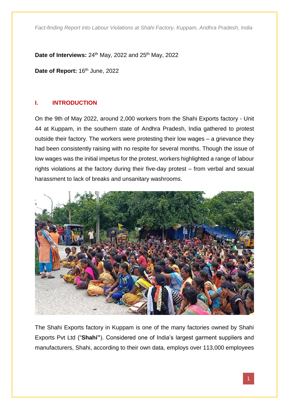**Date of Interviews:** 24<sup>th</sup> May, 2022 and 25<sup>th</sup> May, 2022

Date of Report: 16<sup>th</sup> June, 2022

#### **I. INTRODUCTION**

On the 9th of May 2022, around 2,000 workers from the Shahi Exports factory - Unit 44 at Kuppam, in the southern state of Andhra Pradesh, India gathered to protest outside their factory. The workers were protesting their low wages – a grievance they had been consistently raising with no respite for several months. Though the issue of low wages was the initial impetus for the protest, workers highlighted a range of labour rights violations at the factory during their five-day protest – from verbal and sexual harassment to lack of breaks and unsanitary washrooms.



The Shahi Exports factory in Kuppam is one of the many factories owned by Shahi Exports Pvt Ltd ("**Shahi"**). Considered one of India's largest garment suppliers and manufacturers, Shahi, according to their own data, employs over 113,000 employees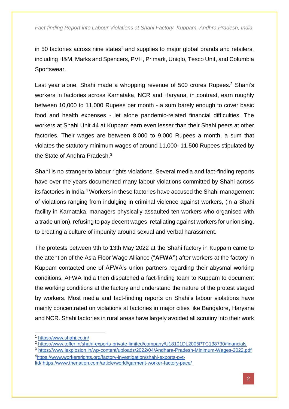in 50 factories across nine states<sup>1</sup> and supplies to major global brands and retailers, including H&M, Marks and Spencers, PVH, Primark, Uniqlo, Tesco Unit, and Columbia Sportswear.

Last year alone, Shahi made a whopping revenue of 500 crores Rupees.<sup>2</sup> Shahi's workers in factories across Karnataka, NCR and Haryana, in contrast, earn roughly between 10,000 to 11,000 Rupees per month - a sum barely enough to cover basic food and health expenses - let alone pandemic-related financial difficulties. The workers at Shahi Unit 44 at Kuppam earn even lesser than their Shahi peers at other factories. Their wages are between 8,000 to 9,000 Rupees a month, a sum that violates the statutory minimum wages of around 11,000- 11,500 Rupees stipulated by the State of Andhra Pradesh.<sup>3</sup>

Shahi is no stranger to labour rights violations. Several media and fact-finding reports have over the years documented many labour violations committed by Shahi across its factories in India.<sup>4</sup> Workers in these factories have accused the Shahi management of violations ranging from indulging in criminal violence against workers, (in a Shahi facility in Karnataka, managers physically assaulted ten workers who organised with a trade union), refusing to pay decent wages, retaliating against workers for unionising, to creating a culture of impunity around sexual and verbal harassment.

The protests between 9th to 13th May 2022 at the Shahi factory in Kuppam came to the attention of the Asia Floor Wage Alliance ("**AFWA"**) after workers at the factory in Kuppam contacted one of AFWA's union partners regarding their abysmal working conditions. AFWA India then dispatched a fact-finding team to Kuppam to document the working conditions at the factory and understand the nature of the protest staged by workers. Most media and fact-finding reports on Shahi's labour violations have mainly concentrated on violations at factories in major cities like Bangalore, Haryana and NCR. Shahi factories in rural areas have largely avoided all scrutiny into their work

-

<sup>3</sup> <https://www.lexplosion.in/wp-content/uploads/2022/04/Andhara-Pradesh-Minimum-Wages-2022.pdf> <sup>4</sup>[https://www.workersrights.org/factory-investigation/shahi-exports-pvt-](https://www.workersrights.org/factory-investigation/shahi-exports-pvt-ltd/)

[ltd/;](https://www.workersrights.org/factory-investigation/shahi-exports-pvt-ltd/)<https://www.thenation.com/article/world/garment-worker-factory-pace/>

<sup>1</sup> <https://www.shahi.co.in/>

<sup>2</sup> <https://www.tofler.in/shahi-exports-private-limited/company/U18101DL2005PTC138730/financials>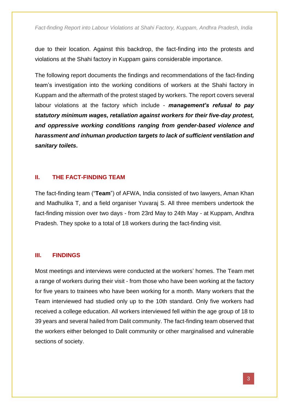due to their location. Against this backdrop, the fact-finding into the protests and violations at the Shahi factory in Kuppam gains considerable importance.

The following report documents the findings and recommendations of the fact-finding team's investigation into the working conditions of workers at the Shahi factory in Kuppam and the aftermath of the protest staged by workers. The report covers several labour violations at the factory which include - *management's refusal to pay statutory minimum wages, retaliation against workers for their five-day protest, and oppressive working conditions ranging from gender-based violence and harassment and inhuman production targets to lack of sufficient ventilation and sanitary toilets***.**

#### **II. THE FACT-FINDING TEAM**

The fact-finding team ("**Team**") of AFWA, India consisted of two lawyers, Aman Khan and Madhulika T, and a field organiser Yuvaraj S. All three members undertook the fact-finding mission over two days - from 23rd May to 24th May - at Kuppam, Andhra Pradesh. They spoke to a total of 18 workers during the fact-finding visit.

#### **III. FINDINGS**

Most meetings and interviews were conducted at the workers' homes. The Team met a range of workers during their visit - from those who have been working at the factory for five years to trainees who have been working for a month. Many workers that the Team interviewed had studied only up to the 10th standard. Only five workers had received a college education. All workers interviewed fell within the age group of 18 to 39 years and several hailed from Dalit community. The fact-finding team observed that the workers either belonged to Dalit community or other marginalised and vulnerable sections of society.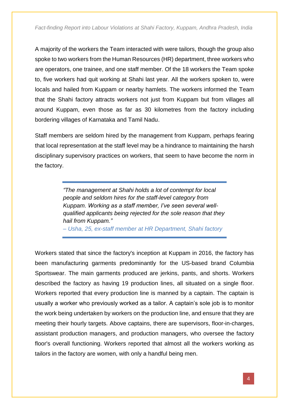A majority of the workers the Team interacted with were tailors, though the group also spoke to two workers from the Human Resources (HR) department, three workers who are operators, one trainee, and one staff member. Of the 18 workers the Team spoke to, five workers had quit working at Shahi last year. All the workers spoken to, were locals and hailed from Kuppam or nearby hamlets. The workers informed the Team that the Shahi factory attracts workers not just from Kuppam but from villages all around Kuppam, even those as far as 30 kilometres from the factory including bordering villages of Karnataka and Tamil Nadu.

Staff members are seldom hired by the management from Kuppam, perhaps fearing that local representation at the staff level may be a hindrance to maintaining the harsh disciplinary supervisory practices on workers, that seem to have become the norm in the factory.

> *"The management at Shahi holds a lot of contempt for local people and seldom hires for the staff-level category from Kuppam. Working as a staff member, I've seen several wellqualified applicants being rejected for the sole reason that they hail from Kuppam."*

*– Usha, 25, ex-staff member at HR Department, Shahi factory*

Workers stated that since the factory's inception at Kuppam in 2016, the factory has been manufacturing garments predominantly for the US-based brand Columbia Sportswear. The main garments produced are jerkins, pants, and shorts. Workers described the factory as having 19 production lines, all situated on a single floor. Workers reported that every production line is manned by a captain. The captain is usually a worker who previously worked as a tailor. A captain's sole job is to monitor the work being undertaken by workers on the production line, and ensure that they are meeting their hourly targets. Above captains, there are supervisors, floor-in-charges, assistant production managers, and production managers, who oversee the factory floor's overall functioning. Workers reported that almost all the workers working as tailors in the factory are women, with only a handful being men.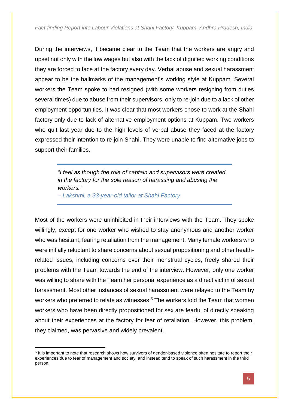During the interviews, it became clear to the Team that the workers are angry and upset not only with the low wages but also with the lack of dignified working conditions they are forced to face at the factory every day. Verbal abuse and sexual harassment appear to be the hallmarks of the management's working style at Kuppam. Several workers the Team spoke to had resigned (with some workers resigning from duties several times) due to abuse from their supervisors, only to re-join due to a lack of other employment opportunities. It was clear that most workers chose to work at the Shahi factory only due to lack of alternative employment options at Kuppam. Two workers who quit last year due to the high levels of verbal abuse they faced at the factory expressed their intention to re-join Shahi. They were unable to find alternative jobs to support their families.

> *"I feel as though the role of captain and supervisors were created in the factory for the sole reason of harassing and abusing the workers." – Lakshmi, a 33-year-old tailor at Shahi Factory*

Most of the workers were uninhibited in their interviews with the Team. They spoke willingly, except for one worker who wished to stay anonymous and another worker who was hesitant, fearing retaliation from the management. Many female workers who were initially reluctant to share concerns about sexual propositioning and other healthrelated issues, including concerns over their menstrual cycles, freely shared their problems with the Team towards the end of the interview. However, only one worker was willing to share with the Team her personal experience as a direct victim of sexual harassment. Most other instances of sexual harassment were relayed to the Team by workers who preferred to relate as witnesses.<sup>5</sup> The workers told the Team that women workers who have been directly propositioned for sex are fearful of directly speaking about their experiences at the factory for fear of retaliation. However, this problem, they claimed, was pervasive and widely prevalent.

-

<sup>&</sup>lt;sup>5</sup> It is important to note that research shows how survivors of gender-based violence often hesitate to report their experiences due to fear of management and society; and instead tend to speak of such harassment in the third person.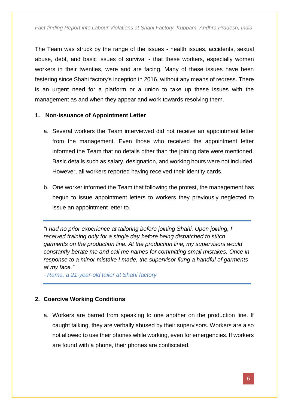The Team was struck by the range of the issues - health issues, accidents, sexual abuse, debt, and basic issues of survival - that these workers, especially women workers in their twenties, were and are facing. Many of these issues have been festering since Shahi factory's inception in 2016, without any means of redress. There is an urgent need for a platform or a union to take up these issues with the management as and when they appear and work towards resolving them.

#### **1. Non-issuance of Appointment Letter**

- a. Several workers the Team interviewed did not receive an appointment letter from the management. Even those who received the appointment letter informed the Team that no details other than the joining date were mentioned. Basic details such as salary, designation, and working hours were not included. However, all workers reported having received their identity cards.
- b. One worker informed the Team that following the protest, the management has begun to issue appointment letters to workers they previously neglected to issue an appointment letter to.

*"I had no prior experience at tailoring before joining Shahi. Upon joining, I received training only for a single day before being dispatched to stitch garments on the production line. At the production line, my supervisors would constantly berate me and call me names for committing small mistakes. Once in response to a minor mistake I made, the supervisor flung a handful of garments at my face."*

*- Rama, a 21-year-old tailor at Shahi factory*

#### **2. Coercive Working Conditions**

a. Workers are barred from speaking to one another on the production line. If caught talking, they are verbally abused by their supervisors. Workers are also not allowed to use their phones while working, even for emergencies. If workers are found with a phone, their phones are confiscated.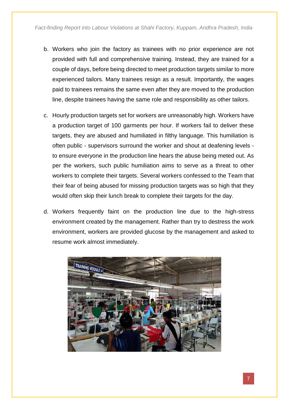- b. Workers who join the factory as trainees with no prior experience are not provided with full and comprehensive training. Instead, they are trained for a couple of days, before being directed to meet production targets similar to more experienced tailors. Many trainees resign as a result. Importantly, the wages paid to trainees remains the same even after they are moved to the production line, despite trainees having the same role and responsibility as other tailors.
- c. Hourly production targets set for workers are unreasonably high. Workers have a production target of 100 garments per hour. If workers fail to deliver these targets, they are abused and humiliated in filthy language. This humiliation is often public - supervisors surround the worker and shout at deafening levels to ensure everyone in the production line hears the abuse being meted out. As per the workers, such public humiliation aims to serve as a threat to other workers to complete their targets. Several workers confessed to the Team that their fear of being abused for missing production targets was so high that they would often skip their lunch break to complete their targets for the day.
- d. Workers frequently faint on the production line due to the high-stress environment created by the management. Rather than try to destress the work environment, workers are provided glucose by the management and asked to resume work almost immediately.

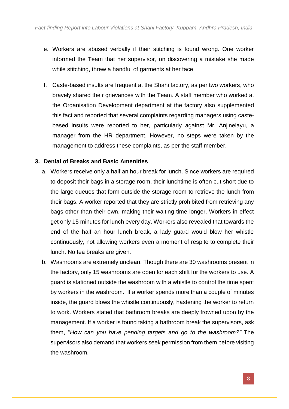- e. Workers are abused verbally if their stitching is found wrong. One worker informed the Team that her supervisor, on discovering a mistake she made while stitching, threw a handful of garments at her face.
- f. Caste-based insults are frequent at the Shahi factory, as per two workers, who bravely shared their grievances with the Team. A staff member who worked at the Organisation Development department at the factory also supplemented this fact and reported that several complaints regarding managers using castebased insults were reported to her, particularly against Mr. Anjinelayu, a manager from the HR department. However, no steps were taken by the management to address these complaints, as per the staff member.

#### **3. Denial of Breaks and Basic Amenities**

- a. Workers receive only a half an hour break for lunch. Since workers are required to deposit their bags in a storage room, their lunchtime is often cut short due to the large queues that form outside the storage room to retrieve the lunch from their bags. A worker reported that they are strictly prohibited from retrieving any bags other than their own, making their waiting time longer. Workers in effect get only 15 minutes for lunch every day. Workers also revealed that towards the end of the half an hour lunch break, a lady guard would blow her whistle continuously, not allowing workers even a moment of respite to complete their lunch. No tea breaks are given.
- b. Washrooms are extremely unclean. Though there are 30 washrooms present in the factory, only 15 washrooms are open for each shift for the workers to use. A guard is stationed outside the washroom with a whistle to control the time spent by workers in the washroom. If a worker spends more than a couple of minutes inside, the guard blows the whistle continuously, hastening the worker to return to work. Workers stated that bathroom breaks are deeply frowned upon by the management. If a worker is found taking a bathroom break the supervisors, ask them, "*How can you have pending targets and go to the washroom?"* The supervisors also demand that workers seek permission from them before visiting the washroom.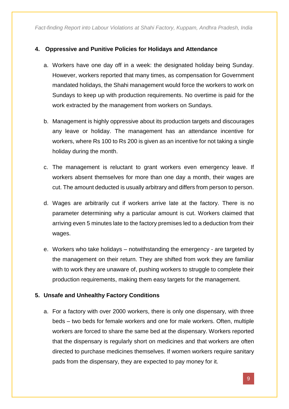#### **4. Oppressive and Punitive Policies for Holidays and Attendance**

- a. Workers have one day off in a week: the designated holiday being Sunday. However, workers reported that many times, as compensation for Government mandated holidays, the Shahi management would force the workers to work on Sundays to keep up with production requirements. No overtime is paid for the work extracted by the management from workers on Sundays.
- b. Management is highly oppressive about its production targets and discourages any leave or holiday. The management has an attendance incentive for workers, where Rs 100 to Rs 200 is given as an incentive for not taking a single holiday during the month.
- c. The management is reluctant to grant workers even emergency leave. If workers absent themselves for more than one day a month, their wages are cut. The amount deducted is usually arbitrary and differs from person to person.
- d. Wages are arbitrarily cut if workers arrive late at the factory. There is no parameter determining why a particular amount is cut. Workers claimed that arriving even 5 minutes late to the factory premises led to a deduction from their wages.
- e. Workers who take holidays notwithstanding the emergency are targeted by the management on their return. They are shifted from work they are familiar with to work they are unaware of, pushing workers to struggle to complete their production requirements, making them easy targets for the management.

#### **5. Unsafe and Unhealthy Factory Conditions**

a. For a factory with over 2000 workers, there is only one dispensary, with three beds – two beds for female workers and one for male workers. Often, multiple workers are forced to share the same bed at the dispensary. Workers reported that the dispensary is regularly short on medicines and that workers are often directed to purchase medicines themselves. If women workers require sanitary pads from the dispensary, they are expected to pay money for it.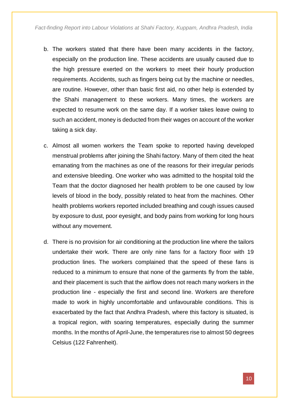- b. The workers stated that there have been many accidents in the factory, especially on the production line. These accidents are usually caused due to the high pressure exerted on the workers to meet their hourly production requirements. Accidents, such as fingers being cut by the machine or needles, are routine. However, other than basic first aid, no other help is extended by the Shahi management to these workers. Many times, the workers are expected to resume work on the same day. If a worker takes leave owing to such an accident, money is deducted from their wages on account of the worker taking a sick day.
- c. Almost all women workers the Team spoke to reported having developed menstrual problems after joining the Shahi factory. Many of them cited the heat emanating from the machines as one of the reasons for their irregular periods and extensive bleeding. One worker who was admitted to the hospital told the Team that the doctor diagnosed her health problem to be one caused by low levels of blood in the body, possibly related to heat from the machines. Other health problems workers reported included breathing and cough issues caused by exposure to dust, poor eyesight, and body pains from working for long hours without any movement.
- d. There is no provision for air conditioning at the production line where the tailors undertake their work. There are only nine fans for a factory floor with 19 production lines. The workers complained that the speed of these fans is reduced to a minimum to ensure that none of the garments fly from the table, and their placement is such that the airflow does not reach many workers in the production line - especially the first and second line. Workers are therefore made to work in highly uncomfortable and unfavourable conditions. This is exacerbated by the fact that Andhra Pradesh, where this factory is situated, is a tropical region, with soaring temperatures, especially during the summer months. In the months of April-June, the temperatures rise to almost 50 degrees Celsius (122 Fahrenheit).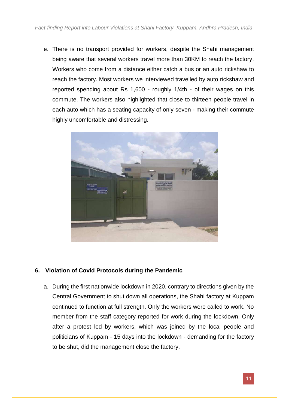e. There is no transport provided for workers, despite the Shahi management being aware that several workers travel more than 30KM to reach the factory. Workers who come from a distance either catch a bus or an auto rickshaw to reach the factory. Most workers we interviewed travelled by auto rickshaw and reported spending about Rs 1,600 - roughly 1/4th - of their wages on this commute. The workers also highlighted that close to thirteen people travel in each auto which has a seating capacity of only seven - making their commute highly uncomfortable and distressing.



#### **6. Violation of Covid Protocols during the Pandemic**

a. During the first nationwide lockdown in 2020, contrary to directions given by the Central Government to shut down all operations, the Shahi factory at Kuppam continued to function at full strength. Only the workers were called to work. No member from the staff category reported for work during the lockdown. Only after a protest led by workers, which was joined by the local people and politicians of Kuppam - 15 days into the lockdown - demanding for the factory to be shut, did the management close the factory.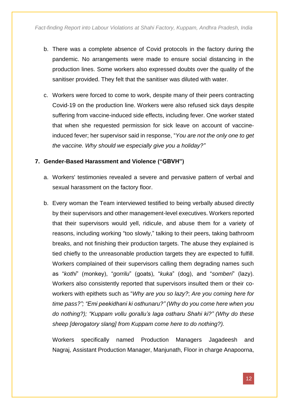- b. There was a complete absence of Covid protocols in the factory during the pandemic. No arrangements were made to ensure social distancing in the production lines. Some workers also expressed doubts over the quality of the sanitiser provided. They felt that the sanitiser was diluted with water.
- c. Workers were forced to come to work, despite many of their peers contracting Covid-19 on the production line. Workers were also refused sick days despite suffering from vaccine-induced side effects, including fever. One worker stated that when she requested permission for sick leave on account of vaccineinduced fever; her supervisor said in response, "*You are not the only one to get the vaccine. Why should we especially give you a holiday?"*

#### **7. Gender-Based Harassment and Violence ("GBVH")**

- a. Workers' testimonies revealed a severe and pervasive pattern of verbal and sexual harassment on the factory floor.
- b. Every woman the Team interviewed testified to being verbally abused directly by their supervisors and other management-level executives. Workers reported that their supervisors would yell, ridicule, and abuse them for a variety of reasons, including working "too slowly," talking to their peers, taking bathroom breaks, and not finishing their production targets. The abuse they explained is tied chiefly to the unreasonable production targets they are expected to fulfill. Workers complained of their supervisors calling them degrading names such as "*kothi*" (monkey), "*gorrilu*" (goats), "*kuka*" (dog), and "*somberi*" (lazy). Workers also consistently reported that supervisors insulted them or their coworkers with epithets such as "*Why are you so lazy?*; *Are you coming here for time pass?"; "Emi peekidhani ki osthunaru?" (Why do you come here when you do nothing?); "Kuppam vollu gorallu's laga ostharu Shahi ki?" (Why do these sheep [derogatory slang] from Kuppam come here to do nothing?).*

Workers specifically named Production Managers Jagadeesh and Nagraj, Assistant Production Manager, Manjunath, Floor in charge Anapoorna,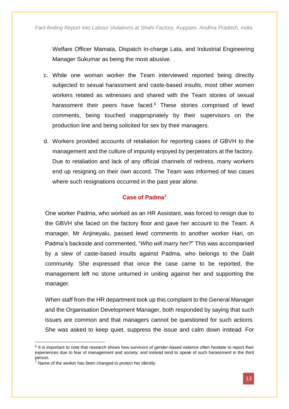Welfare Officer Mamata, Dispatch In-charge Lata, and Industrial Engineering Manager Sukumar as being the most abusive.

- c. While one woman worker the Team interviewed reported being directly subjected to sexual harassment and caste-based insults, most other women workers related as witnesses and shared with the Team stories of sexual harassment their peers have faced.<sup>6</sup> These stories comprised of lewd comments, being touched inappropriately by their supervisors on the production line and being solicited for sex by their managers.
- d. Workers provided accounts of retaliation for reporting cases of GBVH to the management and the culture of impunity enjoyed by perpetrators at the factory. Due to retaliation and lack of any official channels of redress, many workers end up resigning on their own accord. The Team was informed of two cases where such resignations occurred in the past year alone.

#### **Case of Padma<sup>7</sup>**

One worker Padma, who worked as an HR Assistant, was forced to resign due to the GBVH she faced on the factory floor and gave her account to the Team. A manager, Mr Anjineyalu, passed lewd comments to another worker Hari, on Padma's backside and commented, "*Who will marry her?*" This was accompanied by a slew of caste-based insults against Padma, who belongs to the Dalit community. She expressed that once the case came to be reported, the management left no stone unturned in uniting against her and supporting the manager.

When staff from the HR department took up this complaint to the General Manager and the Organisation Development Manager, both responded by saying that such issues are common and that managers cannot be questioned for such actions. She was asked to keep quiet, suppress the issue and calm down instead. For

-

<sup>&</sup>lt;sup>6</sup> It is important to note that research shows how survivors of gender-based violence often hesitate to report their experiences due to fear of management and society; and instead tend to speak of such harassment in the third person.

 $7$  Name of the worker has been changed to protect her identity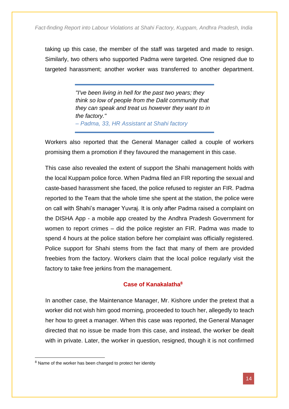taking up this case, the member of the staff was targeted and made to resign. Similarly, two others who supported Padma were targeted. One resigned due to targeted harassment; another worker was transferred to another department.

> *"I've been living in hell for the past two years; they think so low of people from the Dalit community that they can speak and treat us however they want to in the factory." – Padma, 33, HR Assistant at Shahi factory*

Workers also reported that the General Manager called a couple of workers promising them a promotion if they favoured the management in this case.

This case also revealed the extent of support the Shahi management holds with the local Kuppam police force. When Padma filed an FIR reporting the sexual and caste-based harassment she faced, the police refused to register an FIR. Padma reported to the Team that the whole time she spent at the station, the police were on call with Shahi's manager Yuvraj. It is only after Padma raised a complaint on the DISHA App - a mobile app created by the Andhra Pradesh Government for women to report crimes – did the police register an FIR. Padma was made to spend 4 hours at the police station before her complaint was officially registered. Police support for Shahi stems from the fact that many of them are provided freebies from the factory. Workers claim that the local police regularly visit the factory to take free jerkins from the management.

#### **Case of Kanakalatha<sup>8</sup>**

In another case, the Maintenance Manager, Mr. Kishore under the pretext that a worker did not wish him good morning, proceeded to touch her, allegedly to teach her how to greet a manager. When this case was reported, the General Manager directed that no issue be made from this case, and instead, the worker be dealt with in private. Later, the worker in question, resigned, though it is not confirmed

-

<sup>&</sup>lt;sup>8</sup> Name of the worker has been changed to protect her identity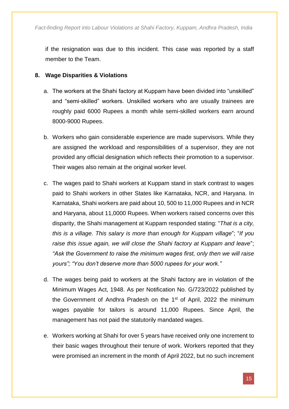if the resignation was due to this incident. This case was reported by a staff member to the Team.

#### **8. Wage Disparities & Violations**

- a. The workers at the Shahi factory at Kuppam have been divided into "unskilled" and "semi-skilled" workers. Unskilled workers who are usually trainees are roughly paid 6000 Rupees a month while semi-skilled workers earn around 8000-9000 Rupees.
- b. Workers who gain considerable experience are made supervisors. While they are assigned the workload and responsibilities of a supervisor, they are not provided any official designation which reflects their promotion to a supervisor. Their wages also remain at the original worker level.
- c. The wages paid to Shahi workers at Kuppam stand in stark contrast to wages paid to Shahi workers in other States like Karnataka, NCR, and Haryana. In Karnataka, Shahi workers are paid about 10, 500 to 11,000 Rupees and in NCR and Haryana, about 11,0000 Rupees. When workers raised concerns over this disparity, the Shahi management at Kuppam responded stating: "*That is a city, this is a village. This salary is more than enough for Kuppam village*"; "*If you raise this issue again, we will close the Shahi factory at Kuppam and leave*"; *"Ask the Government to raise the minimum wages first, only then we will raise yours"; "You don't deserve more than 5000 rupees for your work."*
- d. The wages being paid to workers at the Shahi factory are in violation of the Minimum Wages Act, 1948. As per Notification No. G/723/2022 published by the Government of Andhra Pradesh on the 1<sup>st</sup> of April, 2022 the minimum wages payable for tailors is around 11,000 Rupees. Since April, the management has not paid the statutorily mandated wages.
- e. Workers working at Shahi for over 5 years have received only one increment to their basic wages throughout their tenure of work. Workers reported that they were promised an increment in the month of April 2022, but no such increment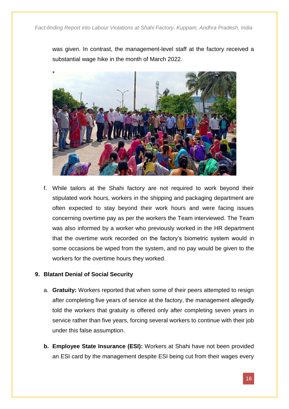was given. In contrast, the management-level staff at the factory received a substantial wage hike in the month of March 2022.



f. While tailors at the Shahi factory are not required to work beyond their stipulated work hours, workers in the shipping and packaging department are often expected to stay beyond their work hours and were facing issues concerning overtime pay as per the workers the Team interviewed. The Team was also informed by a worker who previously worked in the HR department that the overtime work recorded on the factory's biometric system would in some occasions be wiped from the system, and no pay would be given to the workers for the overtime hours they worked.

#### **9. Blatant Denial of Social Security**

- a. **Gratuity:** Workers reported that when some of their peers attempted to resign after completing five years of service at the factory, the management allegedly told the workers that gratuity is offered only after completing seven years in service rather than five years, forcing several workers to continue with their job under this false assumption.
- **b. Employee State Insurance (ESI):** Workers at Shahi have not been provided an ESI card by the management despite ESI being cut from their wages every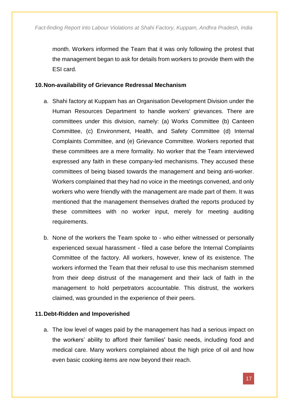month. Workers informed the Team that it was only following the protest that the management began to ask for details from workers to provide them with the ESI card.

#### **10.Non-availability of Grievance Redressal Mechanism**

- a. Shahi factory at Kuppam has an Organisation Development Division under the Human Resources Department to handle workers' grievances. There are committees under this division, namely: (a) Works Committee (b) Canteen Committee, (c) Environment, Health, and Safety Committee (d) Internal Complaints Committee, and (e) Grievance Committee. Workers reported that these committees are a mere formality. No worker that the Team interviewed expressed any faith in these company-led mechanisms. They accused these committees of being biased towards the management and being anti-worker. Workers complained that they had no voice in the meetings convened, and only workers who were friendly with the management are made part of them. It was mentioned that the management themselves drafted the reports produced by these committees with no worker input, merely for meeting auditing requirements.
- b. None of the workers the Team spoke to who either witnessed or personally experienced sexual harassment - filed a case before the Internal Complaints Committee of the factory. All workers, however, knew of its existence. The workers informed the Team that their refusal to use this mechanism stemmed from their deep distrust of the management and their lack of faith in the management to hold perpetrators accountable. This distrust, the workers claimed, was grounded in the experience of their peers.

#### **11.Debt-Ridden and Impoverished**

a. The low level of wages paid by the management has had a serious impact on the workers' ability to afford their families' basic needs, including food and medical care. Many workers complained about the high price of oil and how even basic cooking items are now beyond their reach.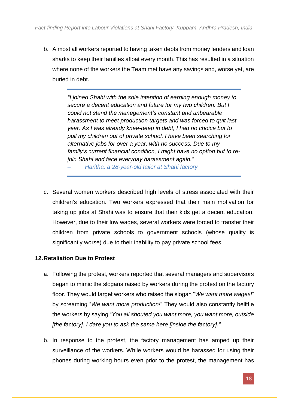b. Almost all workers reported to having taken debts from money lenders and loan sharks to keep their families afloat every month. This has resulted in a situation where none of the workers the Team met have any savings and, worse yet, are buried in debt.

> *"I joined Shahi with the sole intention of earning enough money to secure a decent education and future for my two children. But I could not stand the management's constant and unbearable harassment to meet production targets and was forced to quit last year. As I was already knee-deep in debt, I had no choice but to pull my children out of private school. I have been searching for alternative jobs for over a year, with no success. Due to my family's current financial condition, I might have no option but to rejoin Shahi and face everyday harassment again."*

*– Haritha, a 28-year-old tailor at Shahi factory*

c. Several women workers described high levels of stress associated with their children's education. Two workers expressed that their main motivation for taking up jobs at Shahi was to ensure that their kids get a decent education. However, due to their low wages, several workers were forced to transfer their children from private schools to government schools (whose quality is significantly worse) due to their inability to pay private school fees.

#### **12.Retaliation Due to Protest**

- a. Following the protest, workers reported that several managers and supervisors began to mimic the slogans raised by workers during the protest on the factory floor. They would target workers who raised the slogan "*We want more wages!*" by screaming "*We want more production!*" They would also constantly belittle the workers by saying "*You all shouted you want more, you want more, outside [the factory]. I dare you to ask the same here [inside the factory]."*
- b. In response to the protest, the factory management has amped up their surveillance of the workers. While workers would be harassed for using their phones during working hours even prior to the protest, the management has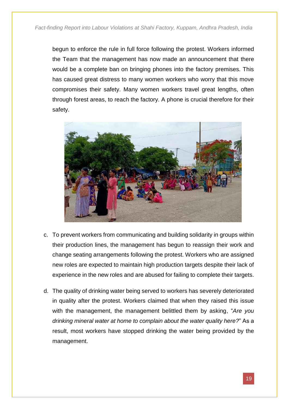begun to enforce the rule in full force following the protest. Workers informed the Team that the management has now made an announcement that there would be a complete ban on bringing phones into the factory premises. This has caused great distress to many women workers who worry that this move compromises their safety. Many women workers travel great lengths, often through forest areas, to reach the factory. A phone is crucial therefore for their safety.



- c. To prevent workers from communicating and building solidarity in groups within their production lines, the management has begun to reassign their work and change seating arrangements following the protest. Workers who are assigned new roles are expected to maintain high production targets despite their lack of experience in the new roles and are abused for failing to complete their targets.
- d. The quality of drinking water being served to workers has severely deteriorated in quality after the protest. Workers claimed that when they raised this issue with the management, the management belittled them by asking, "*Are you drinking mineral water at home to complain about the water quality here?*" As a result, most workers have stopped drinking the water being provided by the management.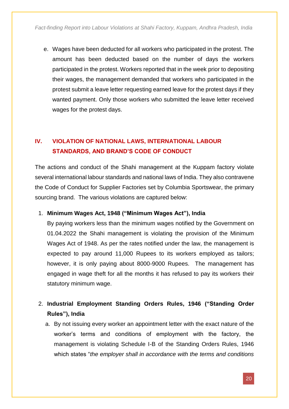e. Wages have been deducted for all workers who participated in the protest. The amount has been deducted based on the number of days the workers participated in the protest. Workers reported that in the week prior to depositing their wages, the management demanded that workers who participated in the protest submit a leave letter requesting earned leave for the protest days if they wanted payment. Only those workers who submitted the leave letter received wages for the protest days.

#### **IV. VIOLATION OF NATIONAL LAWS, INTERNATIONAL LABOUR STANDARDS, AND BRAND'S CODE OF CONDUCT**

The actions and conduct of the Shahi management at the Kuppam factory violate several international labour standards and national laws of India. They also contravene the Code of Conduct for Supplier Factories set by Columbia Sportswear, the primary sourcing brand. The various violations are captured below:

#### 1. **Minimum Wages Act, 1948 ("Minimum Wages Act"), India**

By paying workers less than the minimum wages notified by the Government on 01.04.2022 the Shahi management is violating the provision of the Minimum Wages Act of 1948. As per the rates notified under the law, the management is expected to pay around 11,000 Rupees to its workers employed as tailors; however, it is only paying about 8000-9000 Rupees. The management has engaged in wage theft for all the months it has refused to pay its workers their statutory minimum wage.

#### 2. **Industrial Employment Standing Orders Rules, 1946 ("Standing Order Rules"), India**

a. By not issuing every worker an appointment letter with the exact nature of the worker's terms and conditions of employment with the factory, the management is violating Schedule I-B of the Standing Orders Rules, 1946 which states "*the employer shall in accordance with the terms and conditions*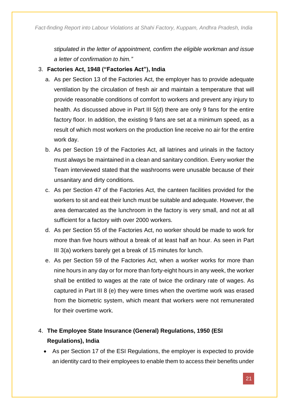*stipulated in the letter of appointment, confirm the eligible workman and issue a letter of confirmation to him."*

#### 3. **Factories Act, 1948 ("Factories Act"), India**

- a. As per Section 13 of the Factories Act, the employer has to provide adequate ventilation by the circulation of fresh air and maintain a temperature that will provide reasonable conditions of comfort to workers and prevent any injury to health. As discussed above in Part III 5(d) there are only 9 fans for the entire factory floor. In addition, the existing 9 fans are set at a minimum speed, as a result of which most workers on the production line receive no air for the entire work day.
- b. As per Section 19 of the Factories Act, all latrines and urinals in the factory must always be maintained in a clean and sanitary condition*.* Every worker the Team interviewed stated that the washrooms were unusable because of their unsanitary and dirty conditions.
- c. As per Section 47 of the Factories Act, the canteen facilities provided for the workers to sit and eat their lunch must be suitable and adequate. However, the area demarcated as the lunchroom in the factory is very small, and not at all sufficient for a factory with over 2000 workers.
- d. As per Section 55 of the Factories Act, no worker should be made to work for more than five hours without a break of at least half an hour. As seen in Part III 3(a) workers barely get a break of 15 minutes for lunch.
- e. As per Section 59 of the Factories Act, when a worker works for more than nine hours in any day or for more than forty-eight hours in any week, the worker shall be entitled to wages at the rate of twice the ordinary rate of wages. As captured in Part III 8 (e) they were times when the overtime work was erased from the biometric system, which meant that workers were not remunerated for their overtime work.

#### 4. **The Employee State Insurance (General) Regulations, 1950 (ESI Regulations), India**

• As per Section 17 of the ESI Regulations, the employer is expected to provide an identity card to their employees to enable them to access their benefits under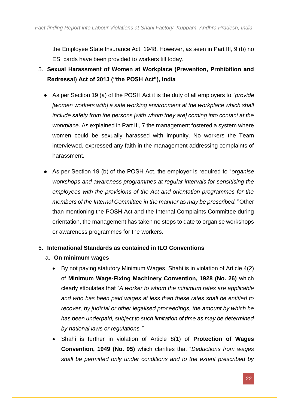the Employee State Insurance Act, 1948. However, as seen in Part III, 9 (b) no ESI cards have been provided to workers till today.

- 5. **Sexual Harassment of Women at Workplace (Prevention, Prohibition and Redressal) Act of 2013 ("the POSH Act"), India**
	- As per Section 19 (a) of the POSH Act it is the duty of all employers to *"provide [women workers with] a safe working environment at the workplace which shall include safety from the persons [with whom they are] coming into contact at the workplace.* As explained in Part III, 7 the management fostered a system where women could be sexually harassed with impunity. No workers the Team interviewed, expressed any faith in the management addressing complaints of harassment.
	- As per Section 19 (b) of the POSH Act, the employer is required to "*organise workshops and awareness programmes at regular intervals for sensitising the employees with the provisions of the Act and orientation programmes for the members of the Internal Committee in the manner as may be prescribed."* Other than mentioning the POSH Act and the Internal Complaints Committee during orientation, the management has taken no steps to date to organise workshops or awareness programmes for the workers.

#### 6. **International Standards as contained in ILO Conventions**

- a. **On minimum wages**
	- By not paying statutory Minimum Wages, Shahi is in violation of Article 4(2) of **Minimum Wage-Fixing Machinery Convention, 1928 (No. 26)** which clearly stipulates that "*A worker to whom the minimum rates are applicable and who has been paid wages at less than these rates shall be entitled to recover, by judicial or other legalised proceedings, the amount by which he has been underpaid, subject to such limitation of time as may be determined by national laws or regulations."*
	- Shahi is further in violation of Article 8(1) of **Protection of Wages Convention, 1949 (No. 95)** which clarifies that "*Deductions from wages shall be permitted only under conditions and to the extent prescribed by*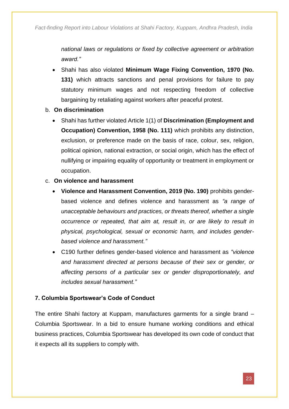*national laws or regulations or fixed by collective agreement or arbitration award."*

- Shahi has also violated **Minimum Wage Fixing Convention, 1970 (No. 131)** which attracts sanctions and penal provisions for failure to pay statutory minimum wages and not respecting freedom of collective bargaining by retaliating against workers after peaceful protest.
- b. **On discrimination**
	- Shahi has further violated Article 1(1) of **Discrimination (Employment and Occupation) Convention, 1958 (No. 111)** which prohibits any distinction, exclusion, or preference made on the basis of race, colour, sex, religion, political opinion, national extraction, or social origin, which has the effect of nullifying or impairing equality of opportunity or treatment in employment or occupation.

#### c. **On violence and harassment**

- **Violence and Harassment Convention, 2019 (No. 190)** prohibits genderbased violence and defines violence and harassment as *"a range of unacceptable behaviours and practices, or threats thereof, whether a single occurrence or repeated, that aim at, result in, or are likely to result in physical, psychological, sexual or economic harm, and includes genderbased violence and harassment."*
- C190 further defines gender-based violence and harassment as *"violence and harassment directed at persons because of their sex or gender, or affecting persons of a particular sex or gender disproportionately, and includes sexual harassment."*

#### **7. Columbia Sportswear's Code of Conduct**

The entire Shahi factory at Kuppam, manufactures garments for a single brand – Columbia Sportswear. In a bid to ensure humane working conditions and ethical business practices, Columbia Sportswear has developed its own code of conduct that it expects all its suppliers to comply with.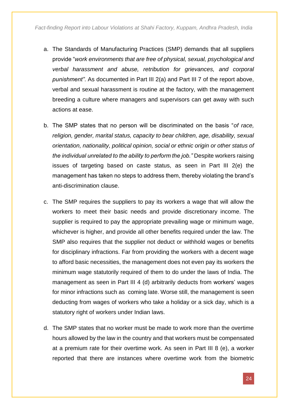- a. The Standards of Manufacturing Practices (SMP) demands that all suppliers provide "*work environments that are free of physical, sexual, psychological and verbal harassment and abuse, retribution for grievances, and corporal punishment"*. As documented in Part III 2(a) and Part III 7 of the report above, verbal and sexual harassment is routine at the factory, with the management breeding a culture where managers and supervisors can get away with such actions at ease.
- b. The SMP states that no person will be discriminated on the basis "*of race, religion, gender, marital status, capacity to bear children, age, disability, sexual orientation, nationality, political opinion, social or ethnic origin or other status of the individual unrelated to the ability to perform the job."* Despite workers raising issues of targeting based on caste status, as seen in Part III 2(e) the management has taken no steps to address them, thereby violating the brand's anti-discrimination clause.
- c. The SMP requires the suppliers to pay its workers a wage that will allow the workers to meet their basic needs and provide discretionary income. The supplier is required to pay the appropriate prevailing wage or minimum wage, whichever is higher, and provide all other benefits required under the law. The SMP also requires that the supplier not deduct or withhold wages or benefits for disciplinary infractions. Far from providing the workers with a decent wage to afford basic necessities, the management does not even pay its workers the minimum wage statutorily required of them to do under the laws of India. The management as seen in Part III 4 (d) arbitrarily deducts from workers' wages for minor infractions such as coming late. Worse still, the management is seen deducting from wages of workers who take a holiday or a sick day, which is a statutory right of workers under Indian laws.
- d. The SMP states that no worker must be made to work more than the overtime hours allowed by the law in the country and that workers must be compensated at a premium rate for their overtime work. As seen in Part III 8 (e), a worker reported that there are instances where overtime work from the biometric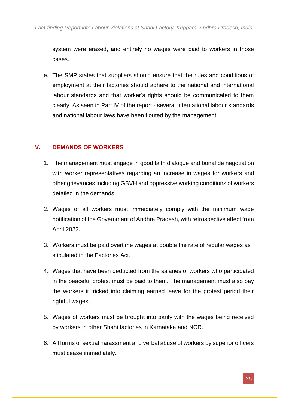system were erased, and entirely no wages were paid to workers in those cases.

e. The SMP states that suppliers should ensure that the rules and conditions of employment at their factories should adhere to the national and international labour standards and that worker's rights should be communicated to them clearly. As seen in Part IV of the report - several international labour standards and national labour laws have been flouted by the management.

#### **V. DEMANDS OF WORKERS**

- 1. The management must engage in good faith dialogue and bonafide negotiation with worker representatives regarding an increase in wages for workers and other grievances including GBVH and oppressive working conditions of workers detailed in the demands.
- 2. Wages of all workers must immediately comply with the minimum wage notification of the Government of Andhra Pradesh, with retrospective effect from April 2022.
- 3. Workers must be paid overtime wages at double the rate of regular wages as stipulated in the Factories Act.
- 4. Wages that have been deducted from the salaries of workers who participated in the peaceful protest must be paid to them. The management must also pay the workers it tricked into claiming earned leave for the protest period their rightful wages.
- 5. Wages of workers must be brought into parity with the wages being received by workers in other Shahi factories in Karnataka and NCR.
- 6. All forms of sexual harassment and verbal abuse of workers by superior officers must cease immediately.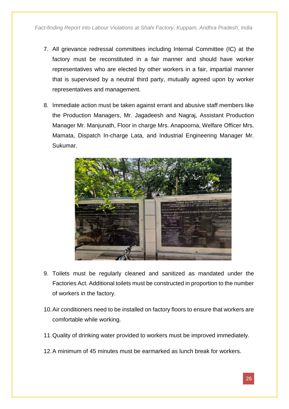- 7. All grievance redressal committees including Internal Committee (IC) at the factory must be reconstituted in a fair manner and should have worker representatives who are elected by other workers in a fair, impartial manner that is supervised by a neutral third party, mutually agreed upon by worker representatives and management.
- 8. Immediate action must be taken against errant and abusive staff members like the Production Managers, Mr. Jagadeesh and Nagraj, Assistant Production Manager Mr. Manjunath, Floor in charge Mrs. Anapoorna, Welfare Officer Mrs. Mamata, Dispatch In-charge Lata, and Industrial Engineering Manager Mr. Sukumar.



- 9. Toilets must be regularly cleaned and sanitized as mandated under the Factories Act. Additional toilets must be constructed in proportion to the number of workers in the factory.
- 10.Air conditioners need to be installed on factory floors to ensure that workers are comfortable while working.
- 11.Quality of drinking water provided to workers must be improved immediately.
- 12.A minimum of 45 minutes must be earmarked as lunch break for workers.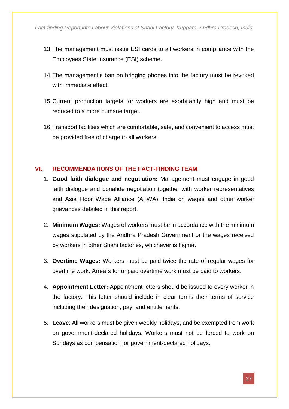- 13.The management must issue ESI cards to all workers in compliance with the Employees State Insurance (ESI) scheme.
- 14.The management's ban on bringing phones into the factory must be revoked with immediate effect.
- 15.Current production targets for workers are exorbitantly high and must be reduced to a more humane target.
- 16.Transport facilities which are comfortable, safe, and convenient to access must be provided free of charge to all workers.

#### **VI. RECOMMENDATIONS OF THE FACT-FINDING TEAM**

- 1. **Good faith dialogue and negotiation:** Management must engage in good faith dialogue and bonafide negotiation together with worker representatives and Asia Floor Wage Alliance (AFWA), India on wages and other worker grievances detailed in this report.
- 2. **Minimum Wages:** Wages of workers must be in accordance with the minimum wages stipulated by the Andhra Pradesh Government or the wages received by workers in other Shahi factories, whichever is higher.
- 3. **Overtime Wages:** Workers must be paid twice the rate of regular wages for overtime work. Arrears for unpaid overtime work must be paid to workers.
- 4. **Appointment Letter:** Appointment letters should be issued to every worker in the factory. This letter should include in clear terms their terms of service including their designation, pay, and entitlements.
- 5. **Leave**: All workers must be given weekly holidays, and be exempted from work on government-declared holidays. Workers must not be forced to work on Sundays as compensation for government-declared holidays.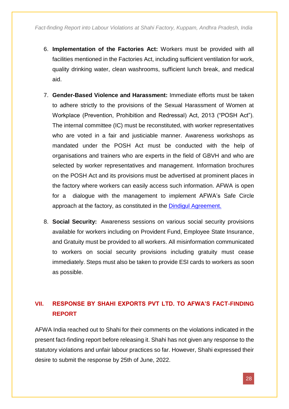- 6. **Implementation of the Factories Act:** Workers must be provided with all facilities mentioned in the Factories Act, including sufficient ventilation for work, quality drinking water, clean washrooms, sufficient lunch break, and medical aid.
- 7. **Gender-Based Violence and Harassment:** Immediate efforts must be taken to adhere strictly to the provisions of the Sexual Harassment of Women at Workplace (Prevention, Prohibition and Redressal) Act, 2013 ("POSH Act"). The internal committee (IC) must be reconstituted, with worker representatives who are voted in a fair and justiciable manner. Awareness workshops as mandated under the POSH Act must be conducted with the help of organisations and trainers who are experts in the field of GBVH and who are selected by worker representatives and management. Information brochures on the POSH Act and its provisions must be advertised at prominent places in the factory where workers can easily access such information. AFWA is open for a dialogue with the management to implement AFWA's Safe Circle approach at the factory, as constituted in the [Dindigul Agreement.](https://asia.floorwage.org/press_release/jeyasre-dindigul-agreement-to-end-gbvh/)
- 8. **Social Security:** Awareness sessions on various social security provisions available for workers including on Provident Fund, Employee State Insurance, and Gratuity must be provided to all workers. All misinformation communicated to workers on social security provisions including gratuity must cease immediately. Steps must also be taken to provide ESI cards to workers as soon as possible.

#### **VII. RESPONSE BY SHAHI EXPORTS PVT LTD. TO AFWA'S FACT-FINDING REPORT**

AFWA India reached out to Shahi for their comments on the violations indicated in the present fact-finding report before releasing it. Shahi has not given any response to the statutory violations and unfair labour practices so far. However, Shahi expressed their desire to submit the response by 25th of June, 2022.